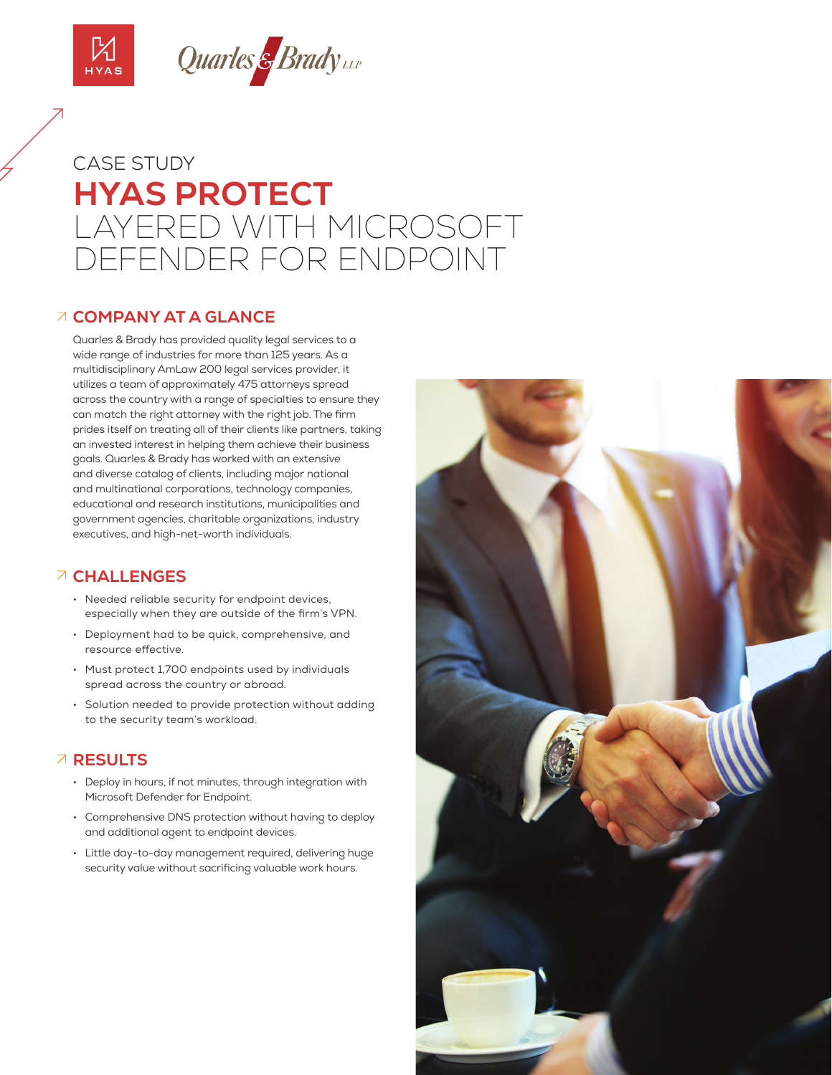



# **HYAS PROTECT** LAYERED WITH MICROSOFT DEFENDER FOR ENDPOINT CASE STUDY

### **COMPANY AT A GLANCE**

Quarles & Brady has provided quality legal services to a wide range of industries for more than 125 years. As a multidisciplinary AmLaw 200 legal services provider, it utilizes a team of approximately 475 attorneys spread across the country with a range of specialties to ensure they can match the right attorney with the right job. The firm prides itself on treating all of their clients like partners, taking an invested interest in helping them achieve their business goals. Quarles & Brady has worked with an extensive and diverse catalog of clients, including major national and multinational corporations, technology companies, educational and research institutions, municipalities and government agencies, charitable organizations, industry executives, and high-net-worth individuals.

# **CHALLENGES**

- Needed reliable security for endpoint devices, especially when they are outside of the firm's VPN.
- Deployment had to be quick, comprehensive, and resource effective.
- Must protect 1,700 endpoints used by individuals spread across the country or abroad.
- Solution needed to provide protection without adding to the security team's workload.

# **RESULTS**

- Deploy in hours, if not minutes, through integration with Microsoft Defender for Endpoint.
- Comprehensive DNS protection without having to deploy and additional agent to endpoint devices.
- Little day-to-day management required, delivering huge security value without sacrificing valuable work hours.